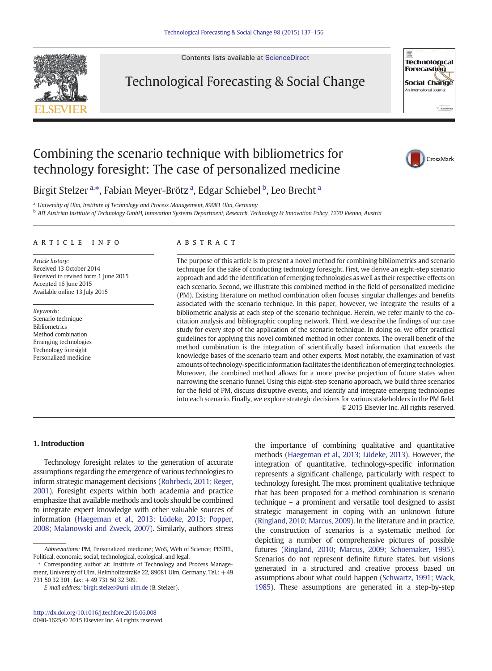Contents lists available at [ScienceDirect](http://www.sciencedirect.com/science/journal/00401625)



Technological Forecasting & Social Change



## Combining the scenario technique with bibliometrics for technology foresight: The case of personalized medicine



Birgit Stelzer <sup>a,\*</sup>, Fabian Meyer-Brötz <sup>a</sup>, Edgar Schiebel <sup>b</sup>, Leo Brecht <sup>a</sup>

<sup>a</sup> University of Ulm, Institute of Technology and Process Management, 89081 Ulm, Germany

**b AIT Austrian Institute of Technology GmbH, Innovation Systems Department, Research, Technology & Innovation Policy, 1220 Vienna, Austria** 

#### article info abstract

Article history: Received 13 October 2014 Received in revised form 1 June 2015 Accepted 16 June 2015 Available online 13 July 2015

Keywords: Scenario technique Bibliometrics Method combination Emerging technologies Technology foresight Personalized medicine

The purpose of this article is to present a novel method for combining bibliometrics and scenario technique for the sake of conducting technology foresight. First, we derive an eight-step scenario approach and add the identification of emerging technologies as well as their respective effects on each scenario. Second, we illustrate this combined method in the field of personalized medicine (PM). Existing literature on method combination often focuses singular challenges and benefits associated with the scenario technique. In this paper, however, we integrate the results of a bibliometric analysis at each step of the scenario technique. Herein, we refer mainly to the cocitation analysis and bibliographic coupling network. Third, we describe the findings of our case study for every step of the application of the scenario technique. In doing so, we offer practical guidelines for applying this novel combined method in other contexts. The overall benefit of the method combination is the integration of scientifically based information that exceeds the knowledge bases of the scenario team and other experts. Most notably, the examination of vast amounts of technology-specific information facilitates the identification of emerging technologies. Moreover, the combined method allows for a more precise projection of future states when narrowing the scenario funnel. Using this eight-step scenario approach, we build three scenarios for the field of PM, discuss disruptive events, and identify and integrate emerging technologies into each scenario. Finally, we explore strategic decisions for various stakeholders in the PM field. © 2015 Elsevier Inc. All rights reserved.

### 1. Introduction

Technology foresight relates to the generation of accurate assumptions regarding the emergence of various technologies to inform strategic management decisions [\(Rohrbeck, 2011; Reger,](#page--1-0) [2001](#page--1-0)). Foresight experts within both academia and practice emphasize that available methods and tools should be combined to integrate expert knowledge with other valuable sources of information ([Haegeman et al., 2013; Lüdeke, 2013; Popper,](#page--1-0) [2008; Malanowski and Zweck, 2007\)](#page--1-0). Similarly, authors stress

E-mail address: [birgit.stelzer@uni-ulm.de](mailto:birgit.stelzer@uni-ulm.de) (B. Stelzer).

the importance of combining qualitative and quantitative methods [\(Haegeman et al., 2013; Lüdeke, 2013](#page--1-0)). However, the integration of quantitative, technology-specific information represents a significant challenge, particularly with respect to technology foresight. The most prominent qualitative technique that has been proposed for a method combination is scenario technique – a prominent and versatile tool designed to assist strategic management in coping with an unknown future [\(Ringland, 2010; Marcus, 2009\)](#page--1-0). In the literature and in practice, the construction of scenarios is a systematic method for depicting a number of comprehensive pictures of possible futures [\(Ringland, 2010; Marcus, 2009; Schoemaker, 1995\)](#page--1-0). Scenarios do not represent definite future states, but visions generated in a structured and creative process based on assumptions about what could happen [\(Schwartz, 1991; Wack,](#page--1-0) [1985](#page--1-0)). These assumptions are generated in a step-by-step

Abbreviations: PM, Personalized medicine; WoS, Web of Science; PESTEL, Political, economic, social, technological, ecological, and legal.

<sup>⁎</sup> Corresponding author at: Institute of Technology and Process Management, University of Ulm, Helmholtzstraße 22, 89081 Ulm, Germany. Tel.: +49  $731$  50 32 301; fax:  $\pm 49$  731 50 32 309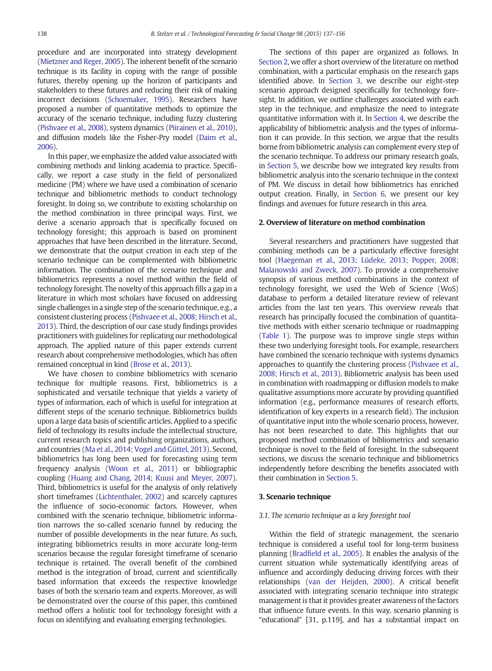procedure and are incorporated into strategy development ([Mietzner and Reger, 2005](#page--1-0)). The inherent benefit of the scenario technique is its facility in coping with the range of possible futures, thereby opening up the horizon of participants and stakeholders to these futures and reducing their risk of making incorrect decisions ([Schoemaker, 1995](#page--1-0)). Researchers have proposed a number of quantitative methods to optimize the accuracy of the scenario technique, including fuzzy clustering ([Pishvaee et al., 2008\)](#page--1-0), system dynamics [\(Piirainen et al., 2010](#page--1-0)), and diffusion models like the Fisher-Pry model [\(Daim et al.,](#page--1-0) [2006\)](#page--1-0).

In this paper, we emphasize the added value associated with combining methods and linking academia to practice. Specifically, we report a case study in the field of personalized medicine (PM) where we have used a combination of scenario technique and bibliometric methods to conduct technology foresight. In doing so, we contribute to existing scholarship on the method combination in three principal ways. First, we derive a scenario approach that is specifically focused on technology foresight; this approach is based on prominent approaches that have been described in the literature. Second, we demonstrate that the output creation in each step of the scenario technique can be complemented with bibliometric information. The combination of the scenario technique and bibliometrics represents a novel method within the field of technology foresight. The novelty of this approach fills a gap in a literature in which most scholars have focused on addressing single challenges in a single step of the scenario technique, e.g., a consistent clustering process [\(Pishvaee et al., 2008; Hirsch et al.,](#page--1-0) [2013\)](#page--1-0). Third, the description of our case study findings provides practitioners with guidelines for replicating our methodological approach. The applied nature of this paper extends current research about comprehensive methodologies, which has often remained conceptual in kind ([Brose et al., 2013](#page--1-0)).

We have chosen to combine bibliometrics with scenario technique for multiple reasons. First, bibliometrics is a sophisticated and versatile technique that yields a variety of types of information, each of which is useful for integration at different steps of the scenario technique. Bibliometrics builds upon a large data basis of scientific articles. Applied to a specific field of technology its results include the intellectual structure, current research topics and publishing organizations, authors, and countries [\(Ma et al., 2014; Vogel and Güttel, 2013](#page--1-0)). Second, bibliometrics has long been used for forecasting using term frequency analysis ([Woon et al., 2011](#page--1-0)) or bibliographic coupling [\(Huang and Chang, 2014; Kuusi and Meyer, 2007](#page--1-0)). Third, bibliometrics is useful for the analysis of only relatively short timeframes [\(Lichtenthaler, 2002\)](#page--1-0) and scarcely captures the influence of socio-economic factors. However, when combined with the scenario technique, bibliometric information narrows the so-called scenario funnel by reducing the number of possible developments in the near future. As such, integrating bibliometrics results in more accurate long-term scenarios because the regular foresight timeframe of scenario technique is retained. The overall benefit of the combined method is the integration of broad, current and scientifically based information that exceeds the respective knowledge bases of both the scenario team and experts. Moreover, as will be demonstrated over the course of this paper, this combined method offers a holistic tool for technology foresight with a focus on identifying and evaluating emerging technologies.

The sections of this paper are organized as follows. In Section 2, we offer a short overview of the literature on method combination, with a particular emphasis on the research gaps identified above. In Section 3, we describe our eight-step scenario approach designed specifically for technology foresight. In addition, we outline challenges associated with each step in the technique, and emphasize the need to integrate quantitative information with it. In [Section 4](#page--1-0), we describe the applicability of bibliometric analysis and the types of information it can provide. In this section, we argue that the results borne from bibliometric analysis can complement every step of the scenario technique. To address our primary research goals, in [Section 5,](#page--1-0) we describe how we integrated key results from bibliometric analysis into the scenario technique in the context of PM. We discuss in detail how bibliometrics has enriched output creation. Finally, in [Section 6,](#page--1-0) we present our key findings and avenues for future research in this area.

### 2. Overview of literature on method combination

Several researchers and practitioners have suggested that combining methods can be a particularly effective foresight tool ([Haegeman et al., 2013; Lüdeke, 2013; Popper, 2008;](#page--1-0) [Malanowski and Zweck, 2007](#page--1-0)). To provide a comprehensive synopsis of various method combinations in the context of technology foresight, we used the Web of Science (WoS) database to perform a detailed literature review of relevant articles from the last ten years. This overview reveals that research has principally focused the combination of quantitative methods with either scenario technique or roadmapping ([Table 1\)](#page--1-0). The purpose was to improve single steps within these two underlying foresight tools. For example, researchers have combined the scenario technique with systems dynamics approaches to quantify the clustering process [\(Pishvaee et al.,](#page--1-0) [2008; Hirsch et al., 2013](#page--1-0)). Bibliometric analysis has been used in combination with roadmapping or diffusion models to make qualitative assumptions more accurate by providing quantified information (e.g., performance measures of research efforts, identification of key experts in a research field). The inclusion of quantitative input into the whole scenario process, however, has not been researched to date. This highlights that our proposed method combination of bibliometrics and scenario technique is novel to the field of foresight. In the subsequent sections, we discuss the scenario technique and bibliometrics independently before describing the benefits associated with their combination in [Section 5.](#page--1-0)

#### 3. Scenario technique

#### 3.1. The scenario technique as a key foresight tool

Within the field of strategic management, the scenario technique is considered a useful tool for long-term business planning ([Bradfield et al., 2005](#page--1-0)). It enables the analysis of the current situation while systematically identifying areas of influence and accordingly deducing driving forces with their relationships [\(van der Heijden, 2000\)](#page--1-0). A critical benefit associated with integrating scenario technique into strategic management is that it provides greater awareness of the factors that influence future events. In this way, scenario planning is "educational" [31, p.119], and has a substantial impact on